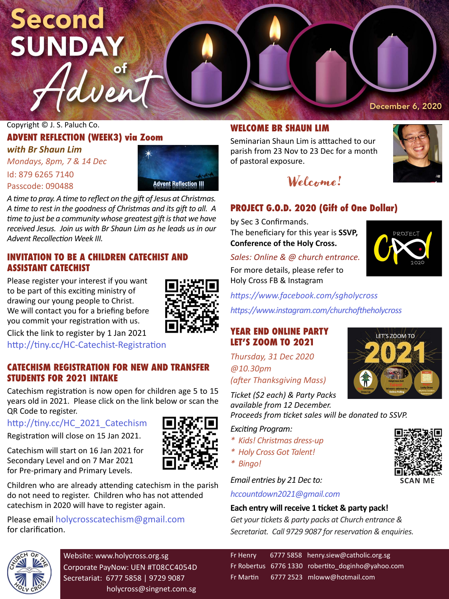# Second **SUNDAY**

Copyright © J. S. Paluch Co.

# **ADVENT REFLECTION (WEEK3) via Zoom**

Haven

*with Br Shaun Lim Mondays, 8pm, 7 & 14 Dec* Id: 879 6265 7140 Passcode: 090488



*A time to pray. A time to reflect on the gift of Jesus at Christmas. A time to rest in the goodness of Christmas and its gift to all. A time to just be a community whose greatest gift is that we have received Jesus. Join us with Br Shaun Lim as he leads us in our Advent Recollection Week III.*

### **INVITATION TO BE A CHILDREN CATECHIST AND ASSISTANT CATECHIST**

Please register your interest if you want to be part of this exciting ministry of drawing our young people to Christ. We will contact you for a briefing before you commit your registration with us. Click the link to register by 1 Jan 2021



http://tiny.cc/HC-Catechist-Registration

# **CATECHISM REGISTRATION FOR NEW AND TRANSFER STUDENTS FOR 2021 INTAKE**

Catechism registration is now open for children age 5 to 15 years old in 2021. Please click on the link below or scan the QR Code to register.

#### http://tiny.cc/HC\_2021\_Catechism

Registration will close on 15 Jan 2021.

Catechism will start on 16 Jan 2021 for Secondary Level and on 7 Mar 2021 for Pre-primary and Primary Levels.

Children who are already attending catechism in the parish do not need to register. Children who has not attended catechism in 2020 will have to register again.

#### Please email holycrosscatechism@gmail.com for clarification.



Website: www.holycross.org.sg Corporate PayNow: UEN #T08CC4054D Secretariat: 6777 5858 | 9729 9087 holycross@singnet.com.sg

# **WELCOME BR SHAUN LIM**

Seminarian Shaun Lim is atttached to our parish from 23 Nov to 23 Dec for a month of pastoral exposure.



December 6, 2020

# **PROJECT G.O.D. 2020 (Gift of One Dollar)**

by Sec 3 Confirmands. The beneficiary for this year is **SSVP, Conference of the Holy Cross.**



*Sales: Online & @ church entrance.* For more details, please refer to Holy Cross FB & Instagram

*https://www.facebook.com/sgholycross*

*https://www.instagram.com/churchoftheholycross*

#### **YEAR END ONLINE PARTY LET'S ZOOM TO 2021**

*Thursday, 31 Dec 2020 @10.30pm* 

*(after Thanksgiving Mass)*

*Ticket (\$2 each) & Party Packs available from 12 December.* 

*Proceeds from ticket sales will be donated to SSVP.*

#### *Exciting Program:*

- *\* Kids! Christmas dress-up*
- *\* Holy Cross Got Talent!*
- *\* Bingo!*

*Email entries by 21 Dec to:*

*hccountdown2021@gmail.com*

#### **Each entry will receive 1 ticket & party pack!**

*Get your tickets & party packs at Church entrance & Secretariat. Call 9729 9087 for reservation & enquiries.*

Fr Henry 6777 5858 henry.siew@catholic.org.sg Fr Robertus 6776 1330 robertito doginho@yahoo.com Fr Martin 6777 2523 mloww@hotmail.com